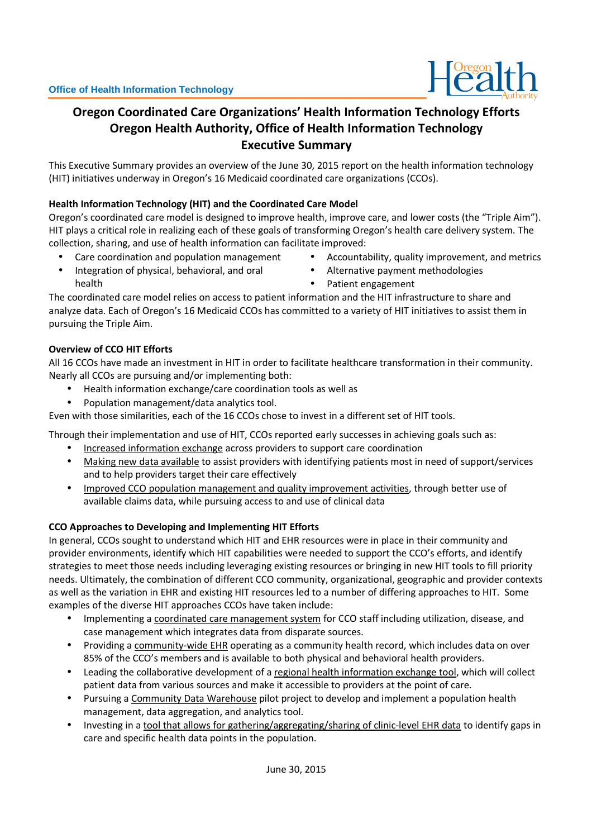

# **Oregon Coordinated Care Organizations' Health Information Technology Efforts Oregon Health Authority, Office of Health Information Technology Executive Summary**

This Executive Summary provides an overview of the June 30, 2015 report on the health information technology (HIT) initiatives underway in Oregon's 16 Medicaid coordinated care organizations (CCOs).

## **Health Information Technology (HIT) and the Coordinated Care Model**

Oregon's coordinated care model is designed to improve health, improve care, and lower costs (the "Triple Aim"). HIT plays a critical role in realizing each of these goals of transforming Oregon's health care delivery system. The collection, sharing, and use of health information can facilitate improved:

- Care coordination and population management
- Integration of physical, behavioral, and oral health
- Accountability, quality improvement, and metrics
- Alternative payment methodologies
- Patient engagement

The coordinated care model relies on access to patient information and the HIT infrastructure to share and analyze data. Each of Oregon's 16 Medicaid CCOs has committed to a variety of HIT initiatives to assist them in pursuing the Triple Aim.

### **Overview of CCO HIT Efforts**

All 16 CCOs have made an investment in HIT in order to facilitate healthcare transformation in their community. Nearly all CCOs are pursuing and/or implementing both:

- Health information exchange/care coordination tools as well as
- Population management/data analytics tool.

Even with those similarities, each of the 16 CCOs chose to invest in a different set of HIT tools.

Through their implementation and use of HIT, CCOs reported early successes in achieving goals such as:

- Increased information exchange across providers to support care coordination
- Making new data available to assist providers with identifying patients most in need of support/services and to help providers target their care effectively
- Improved CCO population management and quality improvement activities, through better use of available claims data, while pursuing access to and use of clinical data

### **CCO Approaches to Developing and Implementing HIT Efforts**

In general, CCOs sought to understand which HIT and EHR resources were in place in their community and provider environments, identify which HIT capabilities were needed to support the CCO's efforts, and identify strategies to meet those needs including leveraging existing resources or bringing in new HIT tools to fill priority needs. Ultimately, the combination of different CCO community, organizational, geographic and provider contexts as well as the variation in EHR and existing HIT resources led to a number of differing approaches to HIT. Some examples of the diverse HIT approaches CCOs have taken include:

- Implementing a coordinated care management system for CCO staff including utilization, disease, and case management which integrates data from disparate sources.
- Providing a community-wide EHR operating as a community health record, which includes data on over 85% of the CCO's members and is available to both physical and behavioral health providers.
- Leading the collaborative development of a regional health information exchange tool, which will collect patient data from various sources and make it accessible to providers at the point of care.
- Pursuing a Community Data Warehouse pilot project to develop and implement a population health management, data aggregation, and analytics tool.
- Investing in a tool that allows for gathering/aggregating/sharing of clinic-level EHR data to identify gaps in care and specific health data points in the population.